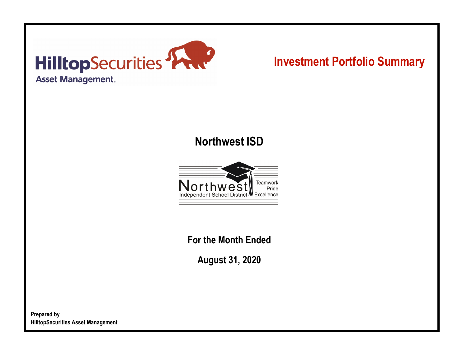

# **Investment Portfolio Summary**

## **Northwest ISD**



**For the Month Ended**

**August 31, 2020**

**Prepared by HilltopSecurities Asset Management**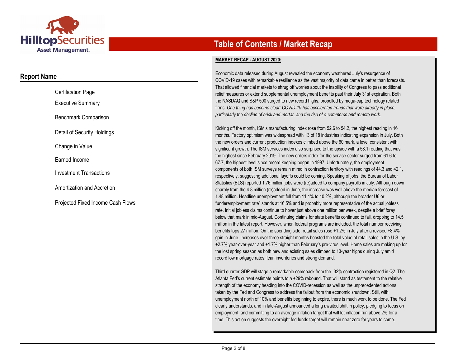

### **Report Name**

| <b>Certification Page</b>         |  |
|-----------------------------------|--|
| <b>Executive Summary</b>          |  |
| Benchmark Comparison              |  |
| Detail of Security Holdings       |  |
| Change in Value                   |  |
| Earned Income                     |  |
| <b>Investment Transactions</b>    |  |
| Amortization and Accretion        |  |
| Projected Fixed Income Cash Flows |  |

## **Table of Contents / Market Recap**

#### **MARKET RECAP - AUGUST 2020:**

Economic data released during August revealed the economy weathered July's resurgence of COVID-19 cases with remarkable resilience as the vast majority of data came in better than forecasts. That allowed financial markets to shrug off worries about the inability of Congress to pass additional relief measures or extend supplemental unemployment benefits past their July 31st expiration. Both the NASDAQ and S&P 500 surged to new record highs, propelled by mega-cap technology related firms. *One thing has become clear: COVID-19 has accelerated trends that were already in place, particularly the decline of brick and mortar, and the rise of e-commerce and remote work.*

Kicking off the month, ISM's manufacturing index rose from 52.6 to 54.2, the highest reading in 16 months. Factory optimism was widespread with 13 of 18 industries indicating expansion in July. Both the new orders and current production indexes climbed above the 60 mark, a level consistent with significant growth. The ISM services index also surprised to the upside with a 58.1 reading that was the highest since February 2019. The new orders index for the service sector surged from 61.6 to 67.7, the highest level since record keeping began in 1997. Unfortunately, the employment components of both ISM surveys remain mired in contraction territory with readings of 44.3 and 42.1, respectively, suggesting additional layoffs could be coming. Speaking of jobs, the Bureau of Labor Statistics (BLS) reported 1.76 million jobs were (re)added to company payrolls in July. Although down sharply from the 4.8 million (re)added in June, the increase was well above the median forecast of 1.48 million. Headline unemployment fell from 11.1% to 10.2%, although the broader U6 or "underemployment rate" stands at 16.5% and is probably more representative of the actual jobless rate. Initial jobless claims continue to hover just above one million per week, despite a brief foray below that mark in mid-August. Continuing claims for state benefits continued to fall, dropping to 14.5 million in the latest report. However, when federal programs are included, the total number receiving benefits tops 27 million. On the spending side, retail sales rose +1.2% in July after a revised +8.4% gain in June. Increases over three straight months boosted the total value of retail sales in the U.S. by +2.7% year-over-year and +1.7% higher than February's pre-virus level. Home sales are making up for the lost spring season as both new and existing sales climbed to 13-year highs during July amid record low mortgage rates, lean inventories and strong demand.

Third quarter GDP will stage a remarkable comeback from the -32% contraction registered in Q2. The Atlanta Fed's current estimate points to a +29% rebound. That will stand as testament to the relative strength of the economy heading into the COVID-recession as well as the unprecedented actions taken by the Fed and Congress to address the fallout from the economic shutdown. Still, with unemployment north of 10% and benefits beginning to expire, there is much work to be done. The Fed clearly understands, and in late-August announced a long awaited shift in policy, pledging to focus on employment, and committing to an average inflation target that will let inflation run above 2% for a time. This action suggests the overnight fed funds target will remain near zero for years to come.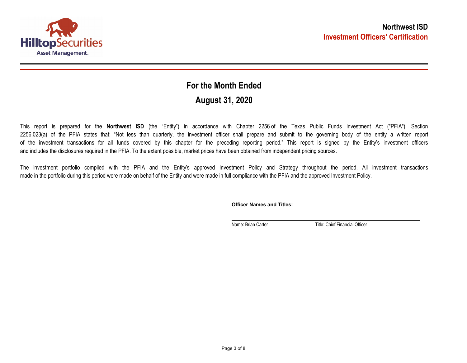

## **August 31, 2020 For the Month Ended**

This report is prepared for the **Northwest ISD** (the "Entity") in accordance with Chapter 2256 of the Texas Public Funds Investment Act ("PFIA"). Section 2256.023(a) of the PFIA states that: "Not less than quarterly, the investment officer shall prepare and submit to the governing body of the entity a written report of the investment transactions for all funds covered by this chapter for the preceding reporting period." This report is signed by the Entity's investment officers and includes the disclosures required in the PFIA. To the extent possible, market prices have been obtained from independent pricing sources.

The investment portfolio complied with the PFIA and the Entity's approved Investment Policy and Strategy throughout the period. All investment transactions made in the portfolio during this period were made on behalf of the Entity and were made in full compliance with the PFIA and the approved Investment Policy.

**Officer Names and Titles:**

Name: Brian Carter Title: Chief Financial Officer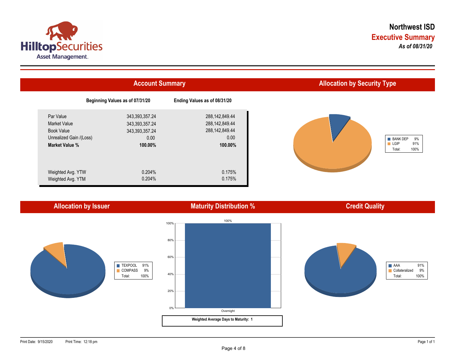



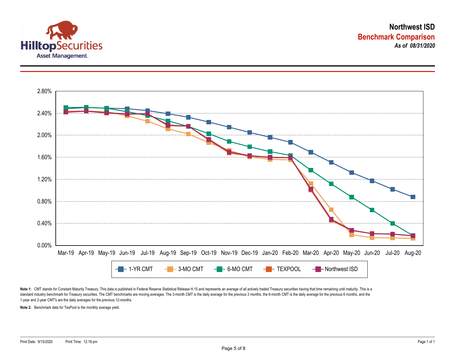



Note 1: CMT stands for Constant Maturity Treasury. This data is published in Federal Reserve Statistical Release H.15 and represents an average of all actively traded Treasury securities having that time remaining until ma standard industry benchmark for Treasury securities. The CMT benchmarks are moving averages. The 3-month CMT is the daily average for the previous 3 months, the 6-month CMT is the daily average for the previous 6 months, a 1-year and 2-year CMT's are the daily averages for the previous 12-months.

**Note 2:** Benchmark data for TexPool is the monthly average yield.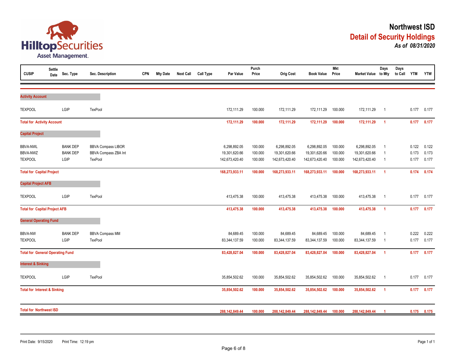

| <b>CUSIP</b>                            | <b>Settle</b><br>Date | Sec. Type               | Sec. Description                       | <b>CPN</b> | <b>Mty Date</b> | <b>Next Call</b> | <b>Call Type</b> | Par Value                       | Purch<br>Price     | <b>Orig Cost</b>                | <b>Book Value</b>               | <b>Mkt</b><br>Price | Market Value to Mty             | Days                             | Days<br>to Call YTM |                | <b>YTW</b>     |
|-----------------------------------------|-----------------------|-------------------------|----------------------------------------|------------|-----------------|------------------|------------------|---------------------------------|--------------------|---------------------------------|---------------------------------|---------------------|---------------------------------|----------------------------------|---------------------|----------------|----------------|
|                                         |                       |                         |                                        |            |                 |                  |                  |                                 |                    |                                 |                                 |                     |                                 |                                  |                     |                |                |
| <b>Activity Account</b>                 |                       |                         |                                        |            |                 |                  |                  |                                 |                    |                                 |                                 |                     |                                 |                                  |                     |                |                |
| <b>TEXPOOL</b>                          |                       | LGIP                    | <b>TexPool</b>                         |            |                 |                  |                  | 172,111.29                      | 100.000            | 172,111.29                      | 172,111.29                      | 100.000             | 172,111.29                      | $\overline{1}$                   |                     | 0.177          | 0.177          |
| <b>Total for Activity Account</b>       |                       |                         |                                        |            |                 |                  |                  | 172,111.29                      | 100.000            | 172,111.29                      | 172,111.29                      | 100.000             | 172,111.29                      | $\overline{\mathbf{1}}$          |                     | 0.177          | 0.177          |
| <b>Capital Project</b>                  |                       |                         |                                        |            |                 |                  |                  |                                 |                    |                                 |                                 |                     |                                 |                                  |                     |                |                |
| <b>BBVA-NWL</b>                         |                       | <b>BANK DEP</b>         | <b>BBVA Compass LIBOR</b>              |            |                 |                  |                  | 6,298,892.05                    | 100.000            | 6,298,892.05                    | 6,298,892.05                    | 100.000             | 6,298,892.05                    | -1                               |                     | 0.122          | 0.122          |
| <b>BBVA-NWZ</b><br><b>TEXPOOL</b>       |                       | <b>BANK DEP</b><br>LGIP | <b>BBVA Compass ZBA Int</b><br>TexPool |            |                 |                  |                  | 19,301,620.66<br>142,673,420.40 | 100.000<br>100.000 | 19,301,620.66<br>142,673,420.40 | 19,301,620.66<br>142,673,420.40 | 100.000<br>100.000  | 19,301,620.66<br>142,673,420.40 | $\overline{1}$<br>$\overline{1}$ |                     | 0.173<br>0.177 | 0.173<br>0.177 |
| <b>Total for Capital Project</b>        |                       |                         |                                        |            |                 |                  |                  | 168,273,933.11                  | 100.000            | 168,273,933.11                  | 168,273,933.11                  | 100.000             | 168,273,933.11                  | $\overline{1}$                   |                     | 0.174          | 0.174          |
| <b>Capital Project AFB</b>              |                       |                         |                                        |            |                 |                  |                  |                                 |                    |                                 |                                 |                     |                                 |                                  |                     |                |                |
|                                         |                       |                         |                                        |            |                 |                  |                  |                                 |                    |                                 |                                 |                     |                                 |                                  |                     |                |                |
| <b>TEXPOOL</b>                          |                       | LGIP                    | TexPool                                |            |                 |                  |                  | 413,475.38                      | 100.000            | 413,475.38                      | 413,475.38                      | 100.000             | 413,475.38                      | $\overline{1}$                   |                     | 0.177          | 0.177          |
| <b>Total for Capital Project AFB</b>    |                       |                         |                                        |            |                 |                  |                  | 413,475.38                      | 100.000            | 413,475.38                      | 413,475.38                      | 100.000             | 413,475.38                      | $\overline{1}$                   |                     | 0.177          | 0.177          |
| <b>General Operating Fund</b>           |                       |                         |                                        |            |                 |                  |                  |                                 |                    |                                 |                                 |                     |                                 |                                  |                     |                |                |
| <b>BBVA-NW</b>                          |                       | <b>BANK DEP</b>         | <b>BBVA Compass MM</b>                 |            |                 |                  |                  | 84,689.45                       | 100.000            | 84,689.45                       | 84,689.45                       | 100.000             | 84,689.45                       | $\overline{1}$                   |                     | 0.222          | 0.222          |
| <b>TEXPOOL</b>                          |                       | LGIP                    | <b>TexPool</b>                         |            |                 |                  |                  | 83,344,137.59                   | 100.000            | 83,344,137.59                   | 83,344,137.59                   | 100.000             | 83,344,137.59                   | -1                               |                     | 0.177          | 0.177          |
| <b>Total for General Operating Fund</b> |                       |                         |                                        |            |                 |                  |                  | 83,428,827.04                   | 100.000            | 83,428,827.04                   | 83,428,827.04                   | 100.000             | 83,428,827.04                   | $\overline{1}$                   |                     | 0.177          | 0.177          |
| <b>Interest &amp; Sinking</b>           |                       |                         |                                        |            |                 |                  |                  |                                 |                    |                                 |                                 |                     |                                 |                                  |                     |                |                |
| <b>TEXPOOL</b>                          |                       | LGIP                    | <b>TexPool</b>                         |            |                 |                  |                  | 35,854,502.62                   | 100.000            | 35,854,502.62                   | 35,854,502.62                   | 100.000             | 35,854,502.62                   | $\overline{1}$                   |                     | 0.177          | 0.177          |
| <b>Total for Interest &amp; Sinking</b> |                       |                         |                                        |            |                 |                  |                  | 35,854,502.62                   | 100.000            | 35,854,502.62                   | 35,854,502.62                   | 100.000             | 35,854,502.62                   | $\overline{1}$                   |                     | 0.177          | 0.177          |
| <b>Total for Northwest ISD</b>          |                       |                         |                                        |            |                 |                  |                  |                                 |                    |                                 |                                 |                     |                                 |                                  |                     |                |                |
|                                         |                       |                         |                                        |            |                 |                  |                  | 288,142,849.44                  | 100.000            | 288,142,849.44                  | 288,142,849.44                  | 100.000             | 288,142,849.44                  |                                  |                     | 0.175          | 0.175          |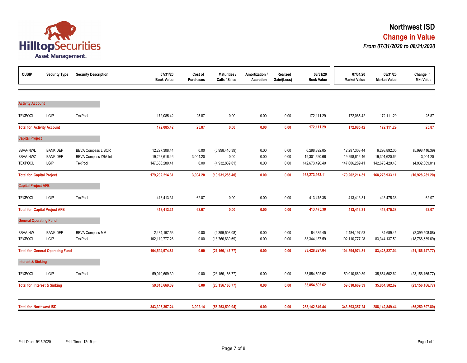

| <b>CUSIP</b>                                  | <b>Security Type</b>                       | <b>Security Description</b>                                  | 07/31/20<br><b>Book Value</b>                    | Cost of<br><b>Purchases</b> | <b>Maturities /</b><br>Calls / Sales     | Amortization /<br>Accretion | Realized<br>Gain/(Loss) | 08/31/20<br><b>Book Value</b>                   | 07/31/20<br><b>Market Value</b>                  | 08/31/20<br><b>Market Value</b>                 | Change in<br><b>Mkt Value</b>                |
|-----------------------------------------------|--------------------------------------------|--------------------------------------------------------------|--------------------------------------------------|-----------------------------|------------------------------------------|-----------------------------|-------------------------|-------------------------------------------------|--------------------------------------------------|-------------------------------------------------|----------------------------------------------|
| <b>Activity Account</b>                       |                                            |                                                              |                                                  |                             |                                          |                             |                         |                                                 |                                                  |                                                 |                                              |
| <b>TEXPOOL</b>                                | LGIP                                       | TexPool                                                      | 172,085.42                                       | 25.87                       | 0.00                                     | 0.00                        | 0.00                    | 172,111.29                                      | 172,085.42                                       | 172,111.29                                      | 25.87                                        |
| <b>Total for Activity Account</b>             |                                            |                                                              | 172,085.42                                       | 25.87                       | 0.00                                     | 0.00                        | 0.00                    | 172,111.29                                      | 172,085.42                                       | 172,111.29                                      | 25.87                                        |
| <b>Capital Project</b>                        |                                            |                                                              |                                                  |                             |                                          |                             |                         |                                                 |                                                  |                                                 |                                              |
| <b>BBVA-NWL</b><br>BBVA-NWZ<br><b>TEXPOOL</b> | <b>BANK DEP</b><br><b>BANK DEP</b><br>LGIP | <b>BBVA Compass LIBOR</b><br>BBVA Compass ZBA Int<br>TexPool | 12,297,308.44<br>19,298,616.46<br>147,606,289.41 | 0.00<br>3,004.20<br>0.00    | (5,998,416.39)<br>0.00<br>(4,932,869.01) | 0.00<br>0.00<br>0.00        | 0.00<br>0.00<br>0.00    | 6,298,892.05<br>19,301,620.66<br>142,673,420.40 | 12,297,308.44<br>19,298,616.46<br>147,606,289.41 | 6,298,892.05<br>19,301,620.66<br>142,673,420.40 | (5,998,416.39)<br>3,004.20<br>(4,932,869.01) |
| <b>Total for Capital Project</b>              |                                            |                                                              | 179,202,214.31                                   | 3,004.20                    | (10, 931, 285.40)                        | 0.00                        | 0.00                    | 168,273,933.11                                  | 179,202,214.31                                   | 168,273,933.11                                  | (10,928,281.20)                              |
| <b>Capital Project AFB</b>                    |                                            |                                                              |                                                  |                             |                                          |                             |                         |                                                 |                                                  |                                                 |                                              |
| <b>TEXPOOL</b>                                | LGIP                                       | TexPool                                                      | 413,413.31                                       | 62.07                       | 0.00                                     | 0.00                        | 0.00                    | 413,475.38                                      | 413,413.31                                       | 413,475.38                                      | 62.07                                        |
|                                               | <b>Total for Capital Project AFB</b>       |                                                              | 413,413.31                                       | 62.07                       | 0.00                                     | 0.00                        | 0.00                    | 413,475.38                                      | 413,413.31                                       | 413,475.38                                      | 62.07                                        |
| <b>General Operating Fund</b>                 |                                            |                                                              |                                                  |                             |                                          |                             |                         |                                                 |                                                  |                                                 |                                              |
| <b>BBVA-NW</b><br><b>TEXPOOL</b>              | <b>BANK DEP</b><br>LGIP                    | <b>BBVA Compass MM</b><br>TexPool                            | 2,484,197.53<br>102,110,777.28                   | 0.00<br>0.00                | (2,399,508.08)<br>(18, 766, 639.69)      | 0.00<br>0.00                | 0.00<br>0.00            | 84,689.45<br>83,344,137.59                      | 2,484,197.53<br>102,110,777.28                   | 84,689.45<br>83,344,137.59                      | (2,399,508.08)<br>(18, 766, 639.69)          |
|                                               | <b>Total for General Operating Fund</b>    |                                                              | 104,594,974.81                                   | 0.00                        | (21, 166, 147.77)                        | 0.00                        | 0.00                    | 83,428,827.04                                   | 104,594,974.81                                   | 83,428,827.04                                   | (21, 166, 147.77)                            |
| <b>Interest &amp; Sinking</b>                 |                                            |                                                              |                                                  |                             |                                          |                             |                         |                                                 |                                                  |                                                 |                                              |
| <b>TEXPOOL</b>                                | LGIP                                       | TexPool                                                      | 59,010,669.39                                    | 0.00                        | (23, 156, 166.77)                        | 0.00                        | 0.00                    | 35,854,502.62                                   | 59,010,669.39                                    | 35,854,502.62                                   | (23, 156, 166.77)                            |
| <b>Total for Interest &amp; Sinking</b>       |                                            |                                                              | 59,010,669.39                                    | 0.00                        | (23, 156, 166.77)                        | 0.00                        | 0.00                    | 35,854,502.62                                   | 59,010,669.39                                    | 35,854,502.62                                   | (23, 156, 166.77)                            |
| <b>Total for Northwest ISD</b>                |                                            |                                                              | 343,393,357.24                                   | 3,092.14                    | (55, 253, 599.94)                        | 0.00                        | 0.00                    | 288,142,849.44                                  | 343,393,357.24                                   | 288,142,849.44                                  | (55, 250, 507.80)                            |